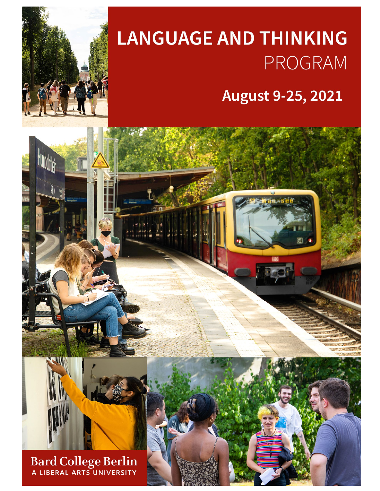

# **LANGUAGE AND THINKING PROGRAM**

August 9-25, 2021

Bard College Berlin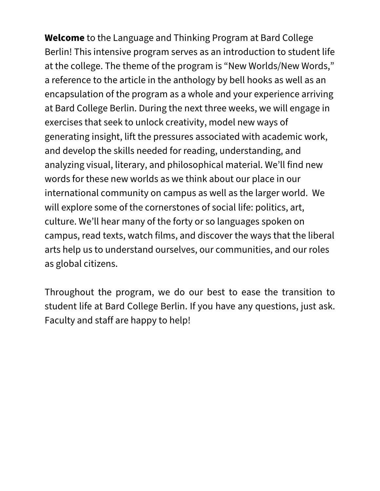**Welcome** to the Language and Thinking Program at Bard College Berlin! This intensive program serves as an introduction to student life at the college. The theme of the program is "New Worlds/New Words," a reference to the article in the anthology by bell hooks as well as an encapsulation of the program as a whole and your experience arriving at Bard College Berlin. During the next three weeks, we will engage in exercises that seek to unlock creativity, model new ways of generating insight, lift the pressures associated with academic work, and develop the skills needed for reading, understanding, and analyzing visual, literary, and philosophical material. We'll find new words for these new worlds as we think about our place in our international community on campus as well as the larger world. We will explore some of the cornerstones of social life: politics, art, culture. We'll hear many of the forty or so languages spoken on campus, read texts, watch films, and discover the ways that the liberal arts help us to understand ourselves, our communities, and our roles as global citizens.

Throughout the program, we do our best to ease the transition to student life at Bard College Berlin. If you have any questions, just ask. Faculty and staff are happy to help!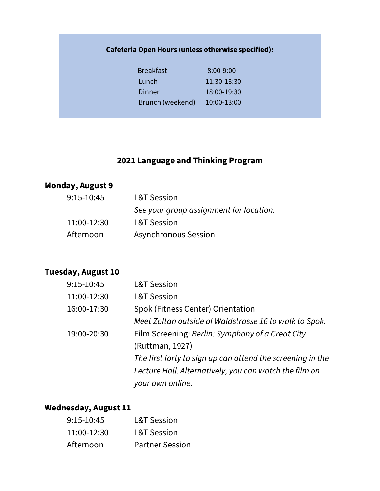## **Cafeteria Open Hours (unless otherwise specified):**

| <b>Breakfast</b> | $8:00 - 9:00$ |
|------------------|---------------|
| Lunch            | 11:30-13:30   |
| Dinner           | 18:00-19:30   |
| Brunch (weekend) | 10:00-13:00   |

## **2021 Language and Thinking Program**

## **Monday, August 9**

| $9:15-10:45$ | <b>L&amp;T Session</b>                  |
|--------------|-----------------------------------------|
|              | See your group assignment for location. |
| 11:00-12:30  | <b>L&amp;T Session</b>                  |
| Afternoon    | <b>Asynchronous Session</b>             |
|              |                                         |

## **Tuesday, August 10**

| 9:15-10:45  | <b>L&amp;T Session</b>                                     |
|-------------|------------------------------------------------------------|
| 11:00-12:30 | <b>L&amp;T Session</b>                                     |
| 16:00-17:30 | Spok (Fitness Center) Orientation                          |
|             | Meet Zoltan outside of Waldstrasse 16 to walk to Spok.     |
| 19:00-20:30 | Film Screening: Berlin: Symphony of a Great City           |
|             | (Ruttman, 1927)                                            |
|             | The first forty to sign up can attend the screening in the |
|             | Lecture Hall. Alternatively, you can watch the film on     |
|             | your own online.                                           |

## **Wednesday, August 11**

| $9:15-10:45$ | <b>L&amp;T Session</b> |
|--------------|------------------------|
| 11:00-12:30  | <b>L&amp;T Session</b> |
| Afternoon    | <b>Partner Session</b> |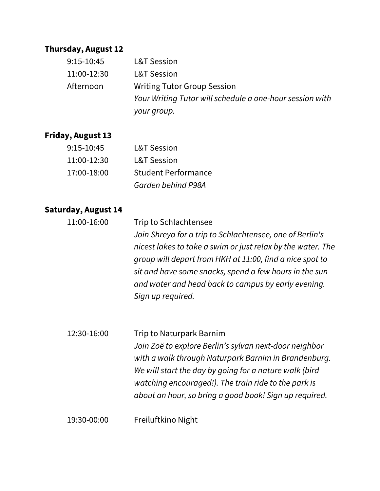#### **Thursday, August 12**

| $9:15-10:45$ | <b>L&amp;T Session</b>                                   |
|--------------|----------------------------------------------------------|
| 11:00-12:30  | <b>L&amp;T Session</b>                                   |
| Afternoon    | <b>Writing Tutor Group Session</b>                       |
|              | Your Writing Tutor will schedule a one-hour session with |
|              | your group.                                              |

## **Friday, August 13**

| $9:15-10:45$ | <b>L&amp;T Session</b>     |
|--------------|----------------------------|
| 11:00-12:30  | <b>L&amp;T Session</b>     |
| 17:00-18:00  | <b>Student Performance</b> |
|              | Garden behind P98A         |

## **Saturday, August 14**

| 11:00-16:00 | Trip to Schlachtensee                                       |
|-------------|-------------------------------------------------------------|
|             | Join Shreya for a trip to Schlachtensee, one of Berlin's    |
|             | nicest lakes to take a swim or just relax by the water. The |
|             | group will depart from HKH at 11:00, find a nice spot to    |
|             | sit and have some snacks, spend a few hours in the sun      |
|             | and water and head back to campus by early evening.         |
|             | Sign up required.                                           |
|             |                                                             |

12:30-16:00 Trip to Naturpark Barnim *Join Zoë to explore Berlin's sylvan next-door neighbor with a walk through Naturpark Barnim in Brandenburg. We will start the day by going for a nature walk (bird watching encouraged!). The train ride to the park is about an hour, so bring a good book! Sign up required.*

19:30-00:00 Freiluftkino Night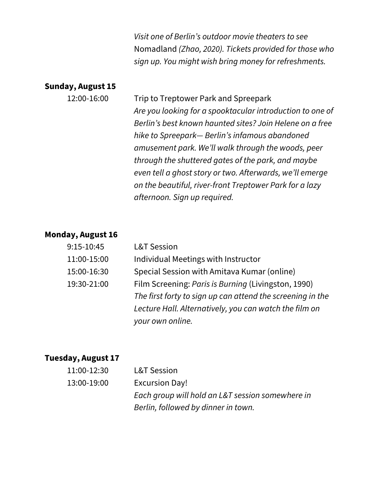*Visit one of Berlin's outdoor movie theaters to see*  Nomadland *(Zhao, 2020). Tickets provided for those who sign up. You might wish bring money for refreshments.* 

#### **Sunday, August 15**

12:00-16:00 Trip to Treptower Park and Spreepark *Are you looking for a spooktacular introduction to one of Berlin's best known haunted sites? Join Helene on a free hike to Spreepark— Berlin's infamous abandoned amusement park. We'll walk through the woods, peer through the shuttered gates of the park, and maybe even tell a ghost story or two. Afterwards, we'll emerge on the beautiful, river-front Treptower Park for a lazy afternoon. Sign up required.*

#### **Monday, August 16**

| $9:15-10:45$ | <b>L&amp;T Session</b>                                     |
|--------------|------------------------------------------------------------|
| 11:00-15:00  | Individual Meetings with Instructor                        |
| 15:00-16:30  | Special Session with Amitava Kumar (online)                |
| 19:30-21:00  | Film Screening: Paris is Burning (Livingston, 1990)        |
|              | The first forty to sign up can attend the screening in the |
|              | Lecture Hall. Alternatively, you can watch the film on     |
|              | your own online.                                           |

#### **Tuesday, August 17**

| 11:00-12:30 | <b>L&amp;T Session</b>                           |
|-------------|--------------------------------------------------|
| 13:00-19:00 | <b>Excursion Day!</b>                            |
|             | Each group will hold an L&T session somewhere in |
|             | Berlin, followed by dinner in town.              |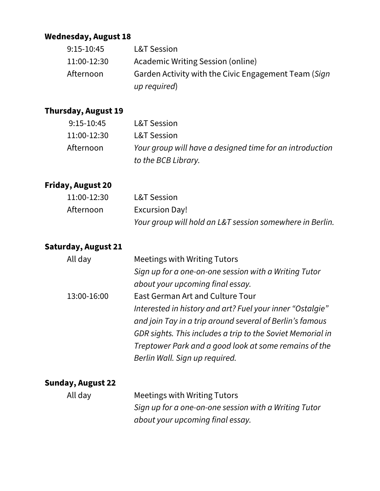## **Wednesday, August 18**

| $9:15-10:45$ | <b>L&amp;T Session</b>                               |
|--------------|------------------------------------------------------|
| 11:00-12:30  | Academic Writing Session (online)                    |
| Afternoon    | Garden Activity with the Civic Engagement Team (Sign |
|              | up required)                                         |

## **Thursday, August 19**

| $9:15-10:45$ | <b>L&amp;T Session</b>                                   |
|--------------|----------------------------------------------------------|
| 11:00-12:30  | <b>L&amp;T Session</b>                                   |
| Afternoon    | Your group will have a designed time for an introduction |
|              | to the BCB Library.                                      |

### **Friday, August 20**

| 11:00-12:30 | <b>L&amp;T Session</b>                                   |
|-------------|----------------------------------------------------------|
| Afternoon   | <b>Excursion Day!</b>                                    |
|             | Your group will hold an L&T session somewhere in Berlin. |

#### **Saturday, August 21**

| All day     | <b>Meetings with Writing Tutors</b>                        |
|-------------|------------------------------------------------------------|
|             | Sign up for a one-on-one session with a Writing Tutor      |
|             | about your upcoming final essay.                           |
| 13:00-16:00 | <b>East German Art and Culture Tour</b>                    |
|             | Interested in history and art? Fuel your inner "Ostalgie"  |
|             | and join Tay in a trip around several of Berlin's famous   |
|             | GDR sights. This includes a trip to the Soviet Memorial in |
|             | Treptower Park and a good look at some remains of the      |
|             | Berlin Wall. Sign up required.                             |
|             |                                                            |

## **Sunday, August 22**

 All day Meetings with Writing Tutors *Sign up for a one-on-one session with a Writing Tutor about your upcoming final essay.*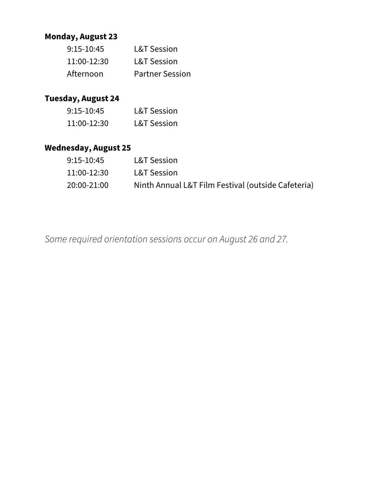# **Monday, August 23**

| $9:15-10:45$ | <b>L&amp;T Session</b> |
|--------------|------------------------|
| 11:00-12:30  | <b>L&amp;T Session</b> |
| Afternoon    | <b>Partner Session</b> |

# **Tuesday, August 24**

| $9:15-10:45$ | <b>L&amp;T Session</b> |
|--------------|------------------------|
| 11:00-12:30  | <b>L&amp;T Session</b> |

# **Wednesday, August 25**

| $9:15-10:45$ | <b>L&amp;T Session</b>                             |
|--------------|----------------------------------------------------|
| 11:00-12:30  | <b>L&amp;T Session</b>                             |
| 20:00-21:00  | Ninth Annual L&T Film Festival (outside Cafeteria) |

*Some required orientation sessions occur on August 26 and 27.*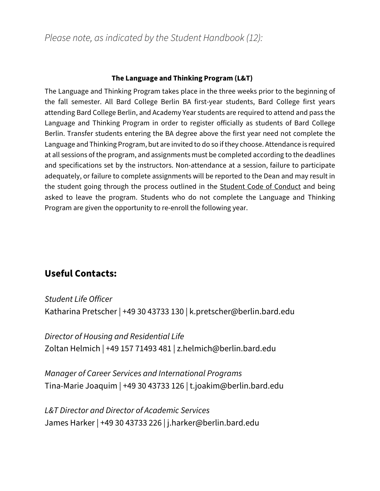*Please note, as indicated by the Student Handbook (12):*

#### **The Language and Thinking Program (L&T)**

The Language and Thinking Program takes place in the three weeks prior to the beginning of the fall semester. All Bard College Berlin BA first-year students, Bard College first years attending Bard College Berlin, and Academy Year students are required to attend and pass the Language and Thinking Program in order to register officially as students of Bard College Berlin. Transfer students entering the BA degree above the first year need not complete the Language and Thinking Program, but are invited to do so if they choose. Attendance is required at all sessions of the program, and assignments must be completed according to the deadlines and specifications set by the instructors. Non-attendance at a session, failure to participate adequately, or failure to complete assignments will be reported to the Dean and may result in the student going through the process outlined in the **Student Code of Conduct** and being asked to leave the program. Students who do not complete the Language and Thinking Program are given the opportunity to re-enroll the following year.

# **Useful Contacts:**

*Student Life Officer* Katharina Pretscher | +49 30 43733 130 | k.pretscher@berlin.bard.edu

*Director of Housing and Residential Life* Zoltan Helmich | +49 157 71493 481 | z.helmich@berlin.bard.edu

*Manager of Career Services and International Programs* Tina-Marie Joaquim | +49 30 43733 126 | t.joakim@berlin.bard.edu

*L&T Director and Director of Academic Services* James Harker | +49 30 43733 226 | j.harker@berlin.bard.edu